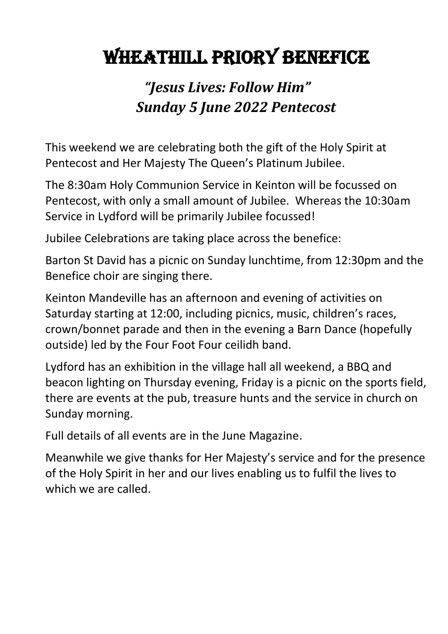# Wheathill Priory Benefice

# *"Jesus Lives: Follow Him" Sunday 5 June 2022 Pentecost*

This weekend we are celebrating both the gift of the Holy Spirit at Pentecost and Her Majesty The Queen's Platinum Jubilee.

The 8:30am Holy Communion Service in Keinton will be focussed on Pentecost, with only a small amount of Jubilee. Whereas the 10:30am Service in Lydford will be primarily Jubilee focussed!

Jubilee Celebrations are taking place across the benefice:

Barton St David has a picnic on Sunday lunchtime, from 12:30pm and the Benefice choir are singing there.

Keinton Mandeville has an afternoon and evening of activities on Saturday starting at 12:00, including picnics, music, children's races, crown/bonnet parade and then in the evening a Barn Dance (hopefully outside) led by the Four Foot Four ceilidh band.

Lydford has an exhibition in the village hall all weekend, a BBQ and beacon lighting on Thursday evening, Friday is a picnic on the sports field, there are events at the pub, treasure hunts and the service in church on Sunday morning.

Full details of all events are in the June Magazine.

Meanwhile we give thanks for Her Majesty's service and for the presence of the Holy Spirit in her and our lives enabling us to fulfil the lives to which we are called.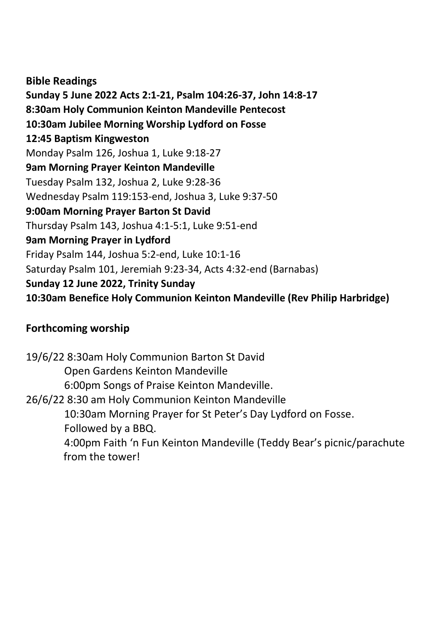**Bible Readings Sunday 5 June 2022 Acts 2:1-21, Psalm 104:26-37, John 14:8-17 8:30am Holy Communion Keinton Mandeville Pentecost 10:30am Jubilee Morning Worship Lydford on Fosse 12:45 Baptism Kingweston** Monday Psalm 126, Joshua 1, Luke 9:18-27 **9am Morning Prayer Keinton Mandeville** Tuesday Psalm 132, Joshua 2, Luke 9:28-36 Wednesday Psalm 119:153-end, Joshua 3, Luke 9:37-50 **9:00am Morning Prayer Barton St David** Thursday Psalm 143, Joshua 4:1-5:1, Luke 9:51-end **9am Morning Prayer in Lydford** Friday Psalm 144, Joshua 5:2-end, Luke 10:1-16 Saturday Psalm 101, Jeremiah 9:23-34, Acts 4:32-end (Barnabas) **Sunday 12 June 2022, Trinity Sunday 10:30am Benefice Holy Communion Keinton Mandeville (Rev Philip Harbridge)**

## **Forthcoming worship**

19/6/22 8:30am Holy Communion Barton St David Open Gardens Keinton Mandeville 6:00pm Songs of Praise Keinton Mandeville. 26/6/22 8:30 am Holy Communion Keinton Mandeville 10:30am Morning Prayer for St Peter's Day Lydford on Fosse. Followed by a BBQ. 4:00pm Faith 'n Fun Keinton Mandeville (Teddy Bear's picnic/parachute from the tower!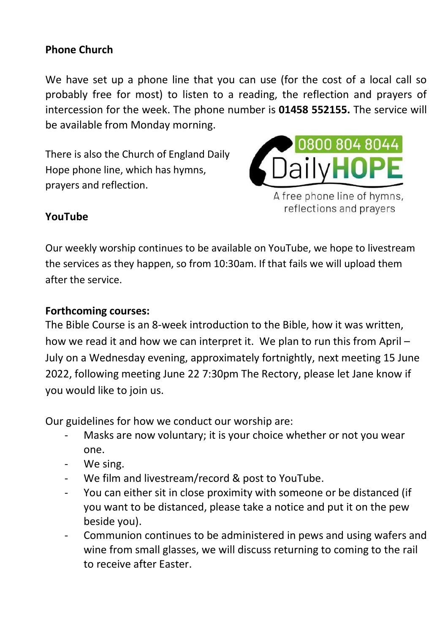#### **Phone Church**

We have set up a phone line that you can use (for the cost of a local call so probably free for most) to listen to a reading, the reflection and prayers of intercession for the week. The phone number is **01458 552155.** The service will be available from Monday morning.

There is also the Church of England Daily Hope phone line, which has hymns, prayers and reflection.



#### **YouTube**

Our weekly worship continues to be available on YouTube, we hope to livestream the services as they happen, so from 10:30am. If that fails we will upload them after the service.

#### **Forthcoming courses:**

The Bible Course is an 8-week introduction to the Bible, how it was written, how we read it and how we can interpret it. We plan to run this from April – July on a Wednesday evening, approximately fortnightly, next meeting 15 June 2022, following meeting June 22 7:30pm The Rectory, please let Jane know if you would like to join us.

Our guidelines for how we conduct our worship are:

- Masks are now voluntary; it is your choice whether or not you wear one.
- We sing.
- We film and livestream/record & post to YouTube.
- You can either sit in close proximity with someone or be distanced (if you want to be distanced, please take a notice and put it on the pew beside you).
- Communion continues to be administered in pews and using wafers and wine from small glasses, we will discuss returning to coming to the rail to receive after Easter.